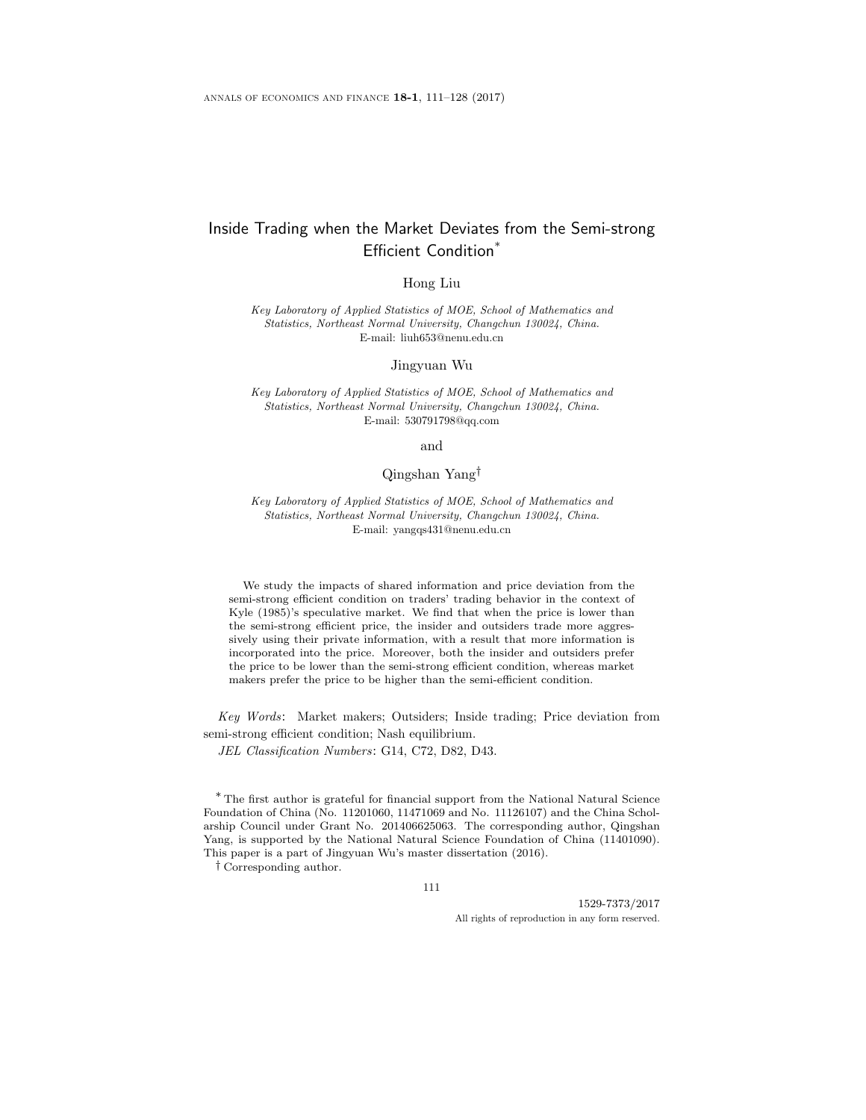# Inside Trading when the Market Deviates from the Semi-strong Efficient Condition\*

Hong Liu

Key Laboratory of Applied Statistics of MOE, School of Mathematics and Statistics, Northeast Normal University, Changchun 130024, China. E-mail: liuh653@nenu.edu.cn

Jingyuan Wu

Key Laboratory of Applied Statistics of MOE, School of Mathematics and Statistics, Northeast Normal University, Changchun 130024, China. E-mail: 530791798@qq.com

and

# Qingshan Yang†

Key Laboratory of Applied Statistics of MOE, School of Mathematics and Statistics, Northeast Normal University, Changchun 130024, China. E-mail: yangqs431@nenu.edu.cn

We study the impacts of shared information and price deviation from the semi-strong efficient condition on traders' trading behavior in the context of Kyle (1985)'s speculative market. We find that when the price is lower than the semi-strong efficient price, the insider and outsiders trade more aggressively using their private information, with a result that more information is incorporated into the price. Moreover, both the insider and outsiders prefer the price to be lower than the semi-strong efficient condition, whereas market makers prefer the price to be higher than the semi-efficient condition.

Key Words: Market makers; Outsiders; Inside trading; Price deviation from semi-strong efficient condition; Nash equilibrium.

JEL Classification Numbers: G14, C72, D82, D43.

\* The first author is grateful for financial support from the National Natural Science Foundation of China (No. 11201060, 11471069 and No. 11126107) and the China Scholarship Council under Grant No. 201406625063. The corresponding author, Qingshan Yang, is supported by the National Natural Science Foundation of China (11401090). This paper is a part of Jingyuan Wu's master dissertation (2016).

† Corresponding author.

111

1529-7373/2017 All rights of reproduction in any form reserved.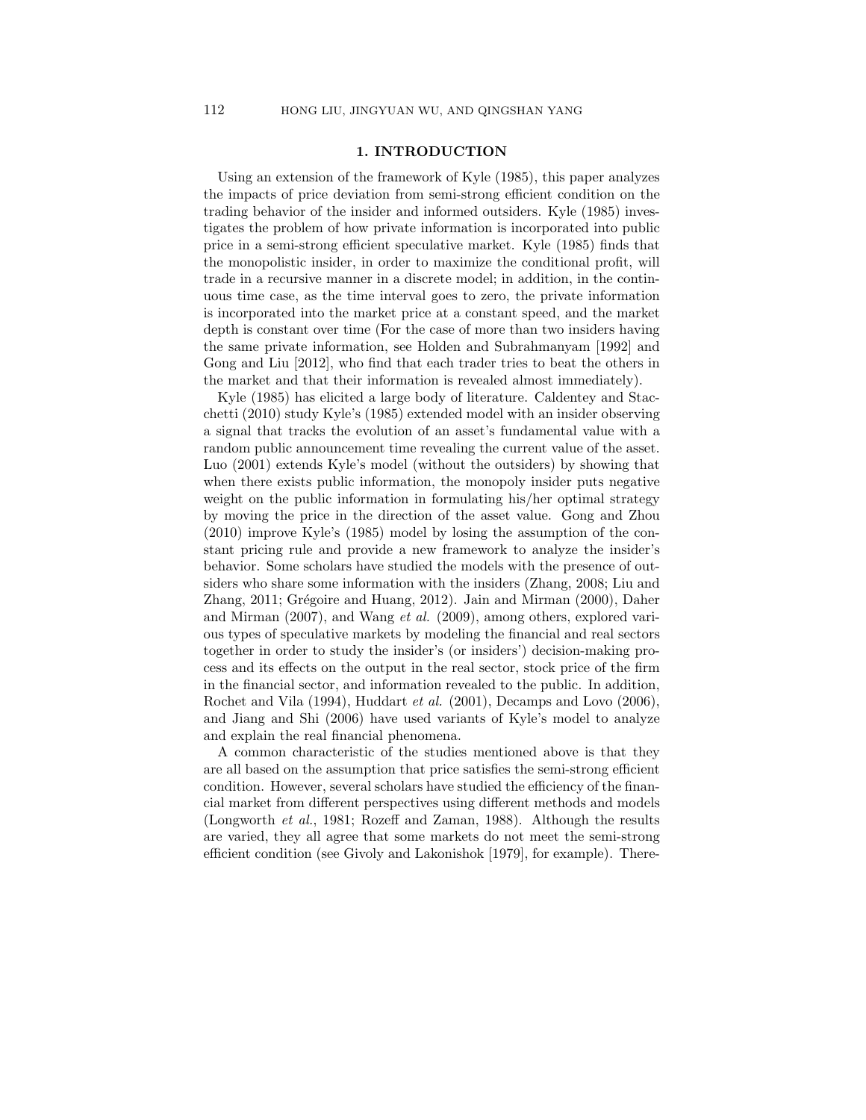## 1. INTRODUCTION

Using an extension of the framework of Kyle (1985), this paper analyzes the impacts of price deviation from semi-strong efficient condition on the trading behavior of the insider and informed outsiders. Kyle (1985) investigates the problem of how private information is incorporated into public price in a semi-strong efficient speculative market. Kyle (1985) finds that the monopolistic insider, in order to maximize the conditional profit, will trade in a recursive manner in a discrete model; in addition, in the continuous time case, as the time interval goes to zero, the private information is incorporated into the market price at a constant speed, and the market depth is constant over time (For the case of more than two insiders having the same private information, see Holden and Subrahmanyam [1992] and Gong and Liu [2012], who find that each trader tries to beat the others in the market and that their information is revealed almost immediately).

Kyle (1985) has elicited a large body of literature. Caldentey and Stacchetti (2010) study Kyle's (1985) extended model with an insider observing a signal that tracks the evolution of an asset's fundamental value with a random public announcement time revealing the current value of the asset. Luo (2001) extends Kyle's model (without the outsiders) by showing that when there exists public information, the monopoly insider puts negative weight on the public information in formulating his/her optimal strategy by moving the price in the direction of the asset value. Gong and Zhou (2010) improve Kyle's (1985) model by losing the assumption of the constant pricing rule and provide a new framework to analyze the insider's behavior. Some scholars have studied the models with the presence of outsiders who share some information with the insiders (Zhang, 2008; Liu and Zhang,  $2011$ ; Grégoire and Huang,  $2012$ ). Jain and Mirman (2000), Daher and Mirman (2007), and Wang et al. (2009), among others, explored various types of speculative markets by modeling the financial and real sectors together in order to study the insider's (or insiders') decision-making process and its effects on the output in the real sector, stock price of the firm in the financial sector, and information revealed to the public. In addition, Rochet and Vila (1994), Huddart et al. (2001), Decamps and Lovo (2006), and Jiang and Shi (2006) have used variants of Kyle's model to analyze and explain the real financial phenomena.

A common characteristic of the studies mentioned above is that they are all based on the assumption that price satisfies the semi-strong efficient condition. However, several scholars have studied the efficiency of the financial market from different perspectives using different methods and models (Longworth et al., 1981; Rozeff and Zaman, 1988). Although the results are varied, they all agree that some markets do not meet the semi-strong efficient condition (see Givoly and Lakonishok [1979], for example). There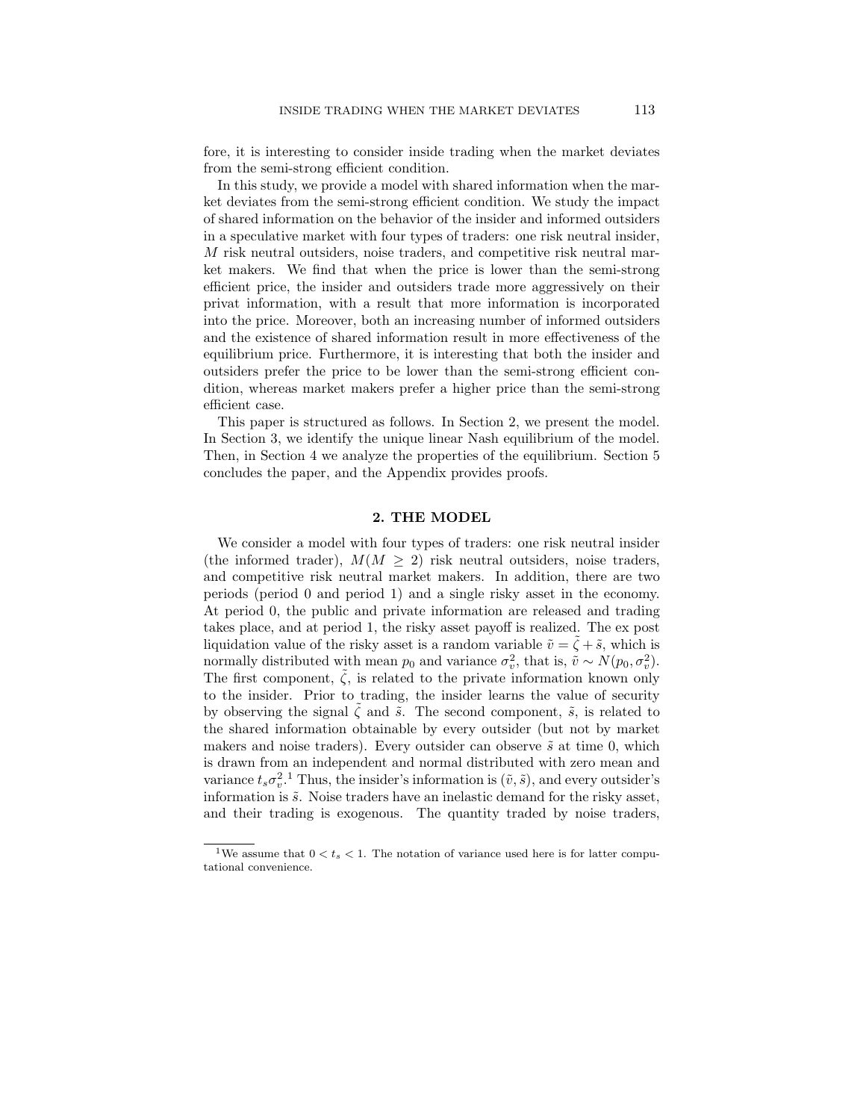fore, it is interesting to consider inside trading when the market deviates from the semi-strong efficient condition.

In this study, we provide a model with shared information when the market deviates from the semi-strong efficient condition. We study the impact of shared information on the behavior of the insider and informed outsiders in a speculative market with four types of traders: one risk neutral insider, M risk neutral outsiders, noise traders, and competitive risk neutral market makers. We find that when the price is lower than the semi-strong efficient price, the insider and outsiders trade more aggressively on their privat information, with a result that more information is incorporated into the price. Moreover, both an increasing number of informed outsiders and the existence of shared information result in more effectiveness of the equilibrium price. Furthermore, it is interesting that both the insider and outsiders prefer the price to be lower than the semi-strong efficient condition, whereas market makers prefer a higher price than the semi-strong efficient case.

This paper is structured as follows. In Section 2, we present the model. In Section 3, we identify the unique linear Nash equilibrium of the model. Then, in Section 4 we analyze the properties of the equilibrium. Section 5 concludes the paper, and the Appendix provides proofs.

#### 2. THE MODEL

We consider a model with four types of traders: one risk neutral insider (the informed trader),  $M(M \geq 2)$  risk neutral outsiders, noise traders, and competitive risk neutral market makers. In addition, there are two periods (period 0 and period 1) and a single risky asset in the economy. At period 0, the public and private information are released and trading takes place, and at period 1, the risky asset payoff is realized. The ex post liquidation value of the risky asset is a random variable  $\tilde{v} = \zeta + \tilde{s}$ , which is normally distributed with mean  $p_0$  and variance  $\sigma_v^2$ , that is,  $\tilde{v} \sim N(p_0, \sigma_v^2)$ . The first component,  $\tilde{\zeta}$ , is related to the private information known only to the insider. Prior to trading, the insider learns the value of security by observing the signal  $\zeta$  and  $\tilde{s}$ . The second component,  $\tilde{s}$ , is related to the shared information obtainable by every outsider (but not by market makers and noise traders). Every outsider can observe  $\tilde{s}$  at time 0, which is drawn from an independent and normal distributed with zero mean and variance  $t_s \sigma_v^2$ .<sup>1</sup> Thus, the insider's information is  $(\tilde{v}, \tilde{s})$ , and every outsider's information is  $\tilde{s}$ . Noise traders have an inelastic demand for the risky asset, and their trading is exogenous. The quantity traded by noise traders,

<sup>&</sup>lt;sup>1</sup>We assume that  $0 < t_s < 1$ . The notation of variance used here is for latter computational convenience.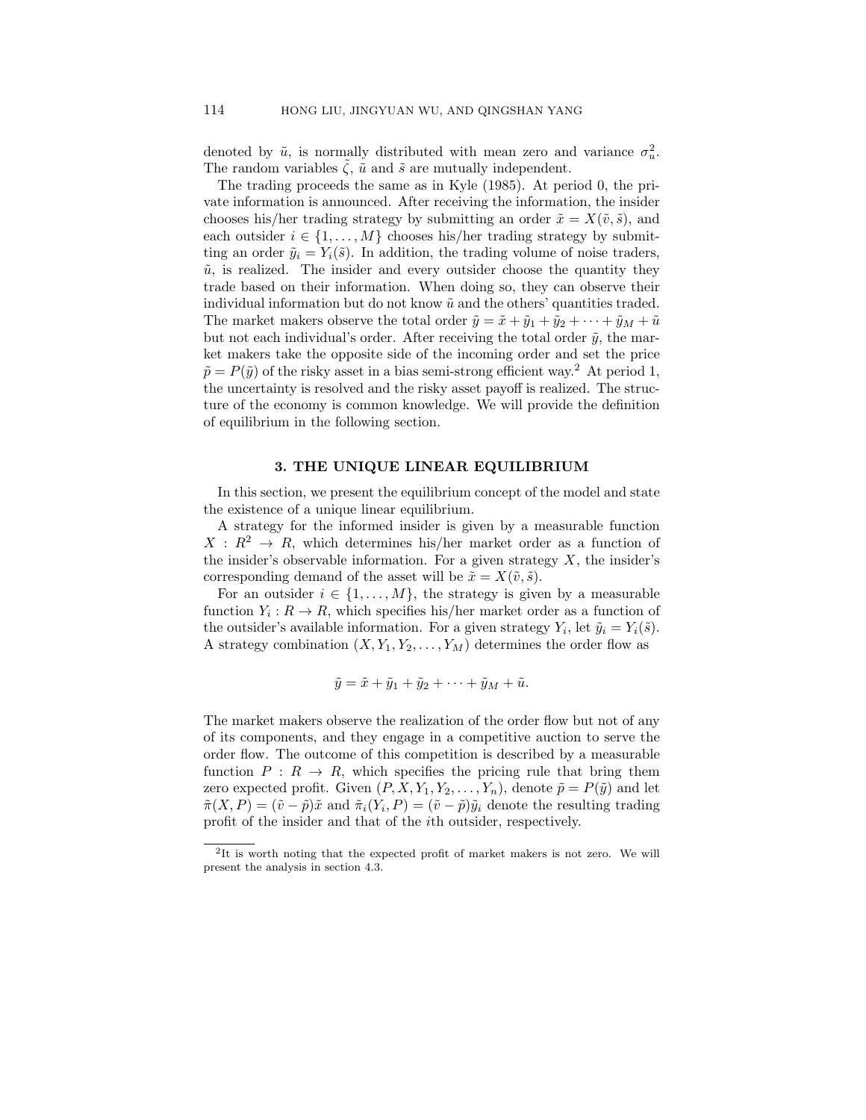denoted by  $\tilde{u}$ , is normally distributed with mean zero and variance  $\sigma_u^2$ . The random variables  $\zeta$ ,  $\tilde{u}$  and  $\tilde{s}$  are mutually independent.

The trading proceeds the same as in Kyle (1985). At period 0, the private information is announced. After receiving the information, the insider chooses his/her trading strategy by submitting an order  $\tilde{x} = X(\tilde{v}, \tilde{s})$ , and each outsider  $i \in \{1, ..., M\}$  chooses his/her trading strategy by submitting an order  $\tilde{y}_i = Y_i(\tilde{s})$ . In addition, the trading volume of noise traders,  $\tilde{u}$ , is realized. The insider and every outsider choose the quantity they trade based on their information. When doing so, they can observe their individual information but do not know  $\tilde{u}$  and the others' quantities traded. The market makers observe the total order  $\tilde{y} = \tilde{x} + \tilde{y}_1 + \tilde{y}_2 + \cdots + \tilde{y}_M + \tilde{u}$ but not each individual's order. After receiving the total order  $\tilde{y}$ , the market makers take the opposite side of the incoming order and set the price  $\tilde{p} = P(\tilde{y})$  of the risky asset in a bias semi-strong efficient way.<sup>2</sup> At period 1, the uncertainty is resolved and the risky asset payoff is realized. The structure of the economy is common knowledge. We will provide the definition of equilibrium in the following section.

## 3. THE UNIQUE LINEAR EQUILIBRIUM

In this section, we present the equilibrium concept of the model and state the existence of a unique linear equilibrium.

A strategy for the informed insider is given by a measurable function  $X: \mathbb{R}^2 \to \mathbb{R}$ , which determines his/her market order as a function of the insider's observable information. For a given strategy  $X$ , the insider's corresponding demand of the asset will be  $\tilde{x} = X(\tilde{v}, \tilde{s})$ .

For an outsider  $i \in \{1, \ldots, M\}$ , the strategy is given by a measurable function  $Y_i: R \to R$ , which specifies his/her market order as a function of the outsider's available information. For a given strategy  $Y_i$ , let  $\tilde{y}_i = Y_i(\tilde{s})$ . A strategy combination  $(X, Y_1, Y_2, \ldots, Y_M)$  determines the order flow as

$$
\tilde{y} = \tilde{x} + \tilde{y}_1 + \tilde{y}_2 + \cdots + \tilde{y}_M + \tilde{u}.
$$

The market makers observe the realization of the order flow but not of any of its components, and they engage in a competitive auction to serve the order flow. The outcome of this competition is described by a measurable function  $P: R \to R$ , which specifies the pricing rule that bring them zero expected profit. Given  $(P, X, Y_1, Y_2, \ldots, Y_n)$ , denote  $\tilde{p} = P(\tilde{y})$  and let  $\tilde{\pi}(X,P) = (\tilde{v} - \tilde{p})\tilde{x}$  and  $\tilde{\pi}_i(Y_i, P) = (\tilde{v} - \tilde{p})\tilde{y}_i$  denote the resulting trading profit of the insider and that of the ith outsider, respectively.

<sup>&</sup>lt;sup>2</sup>It is worth noting that the expected profit of market makers is not zero. We will present the analysis in section 4.3.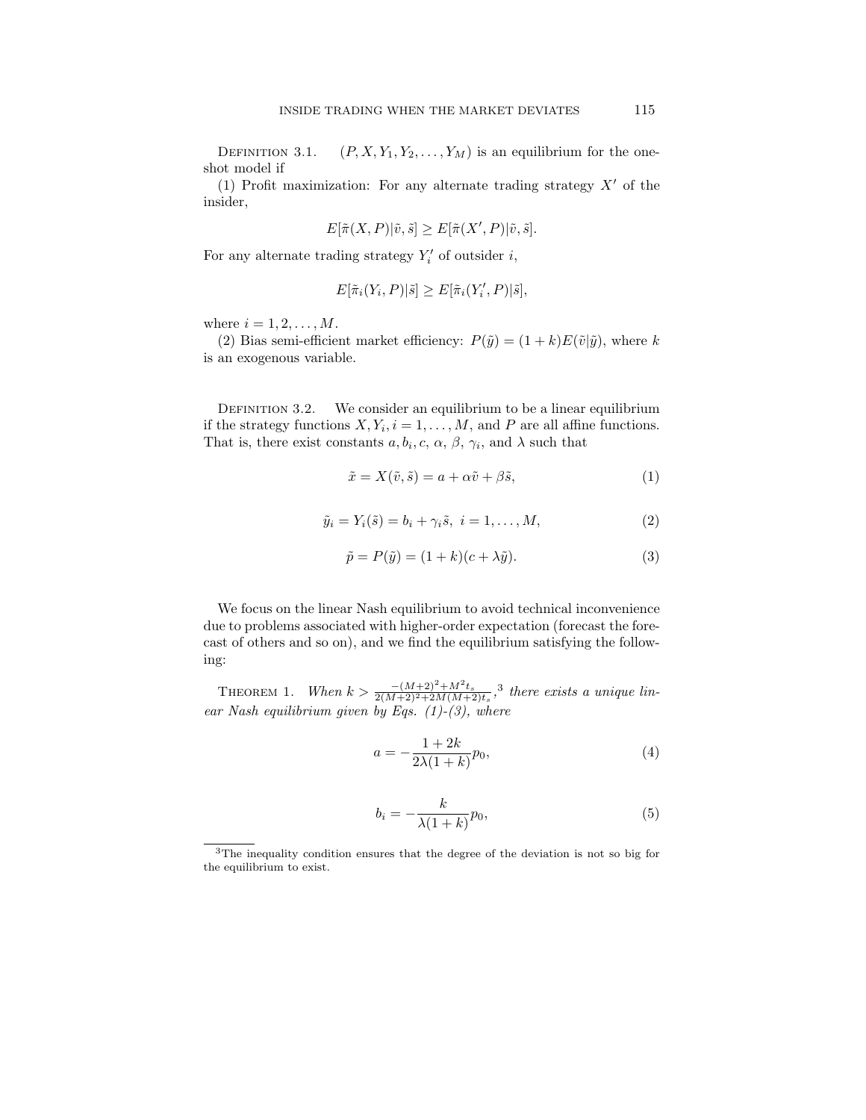DEFINITION 3.1.  $(P, X, Y_1, Y_2, \ldots, Y_M)$  is an equilibrium for the oneshot model if

(1) Profit maximization: For any alternate trading strategy  $X'$  of the insider,

$$
E[\tilde\pi(X,P)|\tilde v,\tilde s]\geq E[\tilde\pi(X',P)|\tilde v,\tilde s].
$$

For any alternate trading strategy  $Y_i'$  of outsider i,

$$
E[\tilde{\pi}_i(Y_i, P)|\tilde{s}] \ge E[\tilde{\pi}_i(Y_i', P)|\tilde{s}],
$$

where  $i = 1, 2, \ldots, M$ .

(2) Bias semi-efficient market efficiency:  $P(\tilde{y}) = (1 + k)E(\tilde{v}|\tilde{y})$ , where k is an exogenous variable.

DEFINITION 3.2. We consider an equilibrium to be a linear equilibrium if the strategy functions  $X, Y_i, i = 1, ..., M$ , and P are all affine functions. That is, there exist constants  $a, b_i, c, \alpha, \beta, \gamma_i$ , and  $\lambda$  such that

$$
\tilde{x} = X(\tilde{v}, \tilde{s}) = a + \alpha \tilde{v} + \beta \tilde{s},\tag{1}
$$

$$
\tilde{y}_i = Y_i(\tilde{s}) = b_i + \gamma_i \tilde{s}, \ i = 1, \dots, M,
$$
\n(2)

$$
\tilde{p} = P(\tilde{y}) = (1 + k)(c + \lambda \tilde{y}).\tag{3}
$$

We focus on the linear Nash equilibrium to avoid technical inconvenience due to problems associated with higher-order expectation (forecast the forecast of others and so on), and we find the equilibrium satisfying the following:

THEOREM 1. When  $k > \frac{-(M+2)^2 + M^2 t_s}{2(M+2)^2 + 2M(M+2)t_s}$ ,<sup>3</sup> there exists a unique linear Nash equilibrium given by Eqs.  $(1)-(3)$ , where

$$
a = -\frac{1+2k}{2\lambda(1+k)}p_0,
$$
\n<sup>(4)</sup>

$$
b_i = -\frac{k}{\lambda(1+k)}p_0,\tag{5}
$$

<sup>3</sup>The inequality condition ensures that the degree of the deviation is not so big for the equilibrium to exist.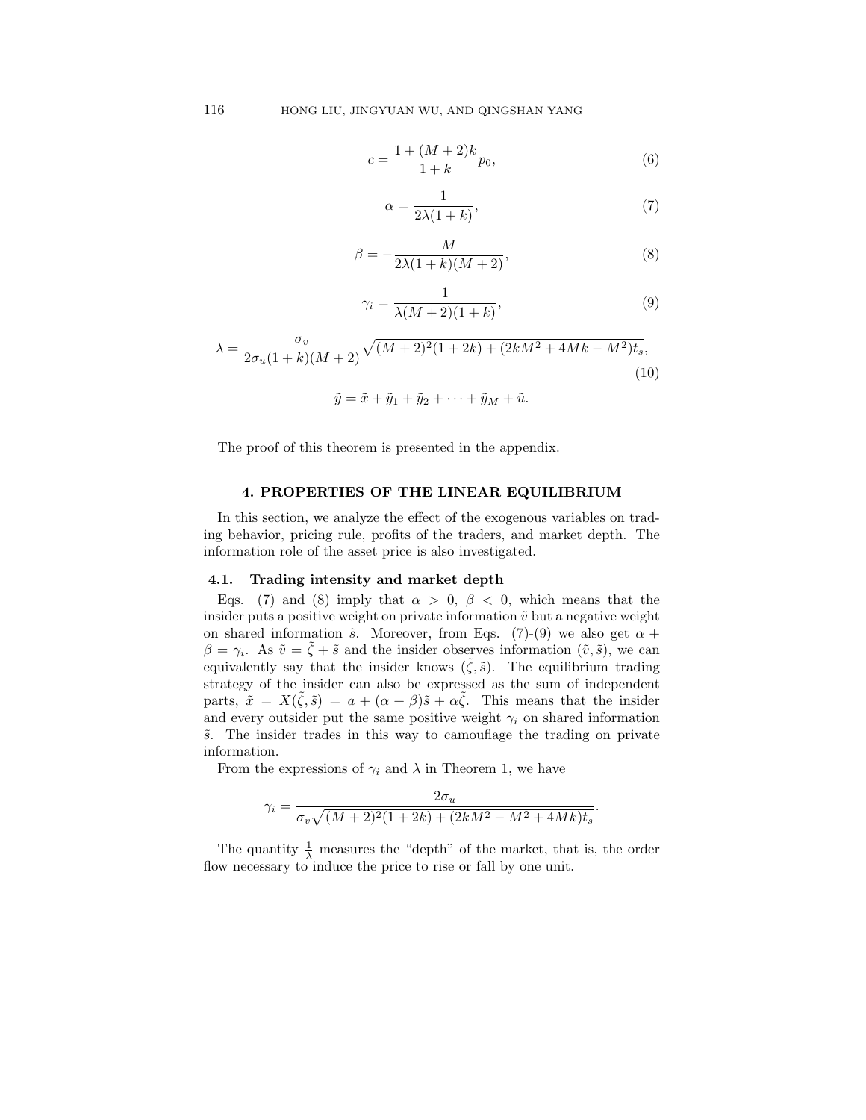$$
c = \frac{1 + (M+2)k}{1+k} p_0,
$$
\n<sup>(6)</sup>

$$
\alpha = \frac{1}{2\lambda(1+k)},\tag{7}
$$

$$
\beta = -\frac{M}{2\lambda(1+k)(M+2)},\tag{8}
$$

$$
\gamma_i = \frac{1}{\lambda (M+2)(1+k)},\tag{9}
$$

$$
\lambda = \frac{\sigma_v}{2\sigma_u(1+k)(M+2)} \sqrt{(M+2)^2(1+2k) + (2kM^2 + 4Mk - M^2)t_s},
$$
\n(10)\n
$$
\tilde{y} = \tilde{x} + \tilde{y}_1 + \tilde{y}_2 + \dots + \tilde{y}_M + \tilde{u}.
$$

The proof of this theorem is presented in the appendix.

#### 4. PROPERTIES OF THE LINEAR EQUILIBRIUM

In this section, we analyze the effect of the exogenous variables on trading behavior, pricing rule, profits of the traders, and market depth. The information role of the asset price is also investigated.

#### 4.1. Trading intensity and market depth

Eqs. (7) and (8) imply that  $\alpha > 0$ ,  $\beta < 0$ , which means that the insider puts a positive weight on private information  $\tilde{v}$  but a negative weight on shared information  $\tilde{s}$ . Moreover, from Eqs. (7)-(9) we also get  $\alpha$  +  $\beta = \gamma_i$ . As  $\tilde{v} = \tilde{\zeta} + \tilde{s}$  and the insider observes information  $(\tilde{v}, \tilde{s})$ , we can equivalently say that the insider knows  $(\tilde{\zeta}, \tilde{s})$ . The equilibrium trading strategy of the insider can also be expressed as the sum of independent parts,  $\tilde{x} = X(\tilde{\zeta}, \tilde{s}) = a + (\alpha + \beta)\tilde{s} + \alpha\tilde{\zeta}$ . This means that the insider and every outsider put the same positive weight  $\gamma_i$  on shared information  $\tilde{s}$ . The insider trades in this way to camouflage the trading on private information.

From the expressions of  $\gamma_i$  and  $\lambda$  in Theorem 1, we have

$$
\gamma_i = \frac{2\sigma_u}{\sigma_v \sqrt{(M+2)^2(1+2k) + (2kM^2 - M^2 + 4Mk)t_s}}.
$$

The quantity  $\frac{1}{\lambda}$  measures the "depth" of the market, that is, the order flow necessary to induce the price to rise or fall by one unit.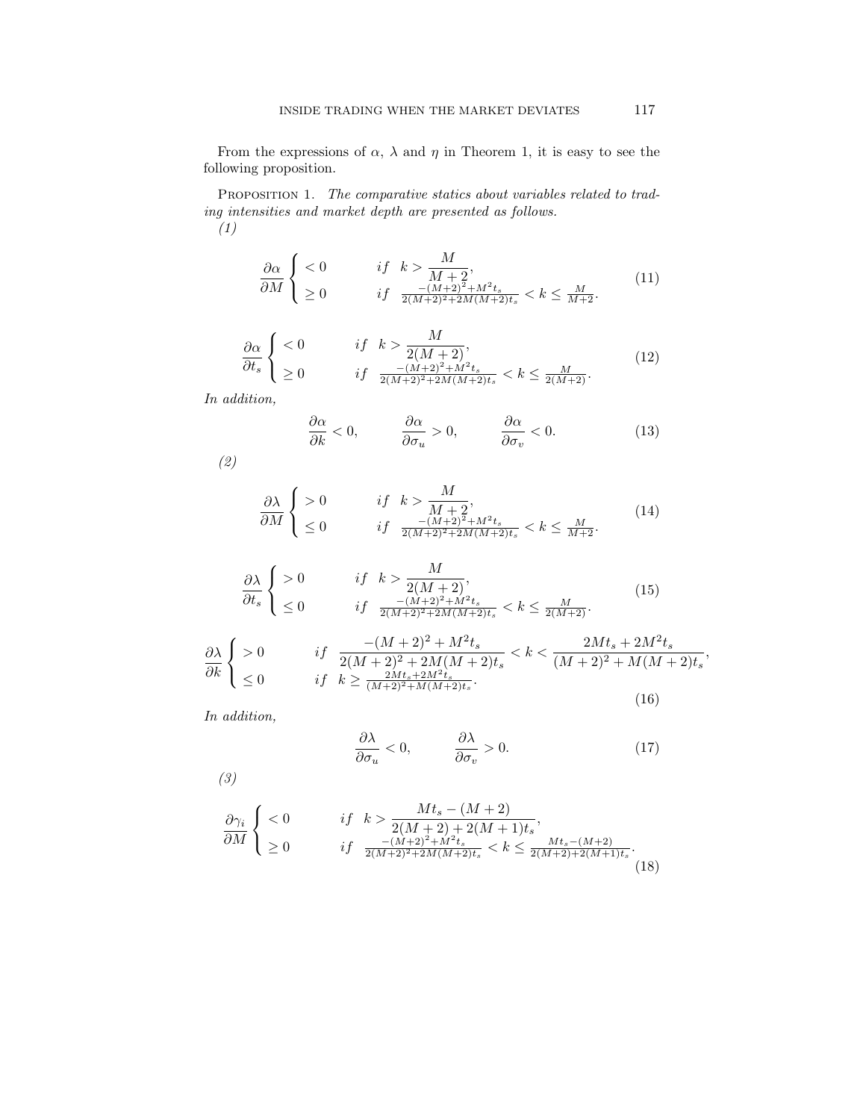From the expressions of  $\alpha$ ,  $\lambda$  and  $\eta$  in Theorem 1, it is easy to see the following proposition.

PROPOSITION 1. The comparative statics about variables related to trading intensities and market depth are presented as follows. (1)

$$
\frac{\partial \alpha}{\partial M} \begin{cases} < 0 & \text{if } k > \frac{M}{M+2}, \\ > 0 & \text{if } \frac{-(M+2)^2 + M^2 t_s}{2(M+2)^2 + 2M(M+2)t_s} < k \le \frac{M}{M+2}. \end{cases} \tag{11}
$$

$$
\frac{\partial \alpha}{\partial t_s} \begin{cases} < 0 & \text{if } k > \frac{M}{2(M+2)},\\ > 0 & \text{if } \frac{-(M+2)^2 + M^2 t_s}{2(M+2)^2 + 2M(M+2)t_s} < k \le \frac{M}{2(M+2)}. \end{cases} \tag{12}
$$

In addition,

$$
\frac{\partial \alpha}{\partial k} < 0, \qquad \frac{\partial \alpha}{\partial \sigma_u} > 0, \qquad \frac{\partial \alpha}{\partial \sigma_v} < 0. \tag{13}
$$

(2)

$$
\frac{\partial \lambda}{\partial M} \begin{cases} > 0 & \text{if } k > \frac{M}{M+2}, \\ \leq 0 & \text{if } \frac{-(M+2)^2 + M^2 t_s}{2(M+2)^2 + 2M(M+2)t_s} < k \leq \frac{M}{M+2}. \end{cases}
$$
(14)

$$
\frac{\partial \lambda}{\partial t_s} \begin{cases} > 0 & \text{if } k > \frac{M}{2(M+2)},\\ & \le 0 & \text{if } \frac{-(M+2)^2 + M^2 t_s}{2(M+2)^2 + 2M(M+2)t_s} < k \le \frac{M}{2(M+2)}. \end{cases} \tag{15}
$$

$$
\frac{\partial \lambda}{\partial k} \begin{cases}\n>0 & \text{if } \frac{-(M+2)^2 + M^2 t_s}{2(M+2)^2 + 2M(M+2)t_s} < k < \frac{2M t_s + 2M^2 t_s}{(M+2)^2 + M(M+2)t_s}, \\
\leq 0 & \text{if } k \geq \frac{2M t_s + 2M^2 t_s}{(M+2)^2 + M(M+2)t_s}.\n\end{cases} (16)
$$

In addition,

$$
\frac{\partial \lambda}{\partial \sigma_u} < 0, \qquad \frac{\partial \lambda}{\partial \sigma_v} > 0. \tag{17}
$$

(3)

$$
\frac{\partial \gamma_i}{\partial M} \begin{cases} < 0 & \text{if } k > \frac{Mt_s - (M+2)}{2(M+2) + 2(M+1)t_s}, \\ & \ge 0 & \text{if } \frac{-(M+2)^2 + M^2 t_s}{2(M+2)^2 + 2M(M+2)t_s} < k \le \frac{Mt_s - (M+2)}{2(M+2) + 2(M+1)t_s}. \end{cases} \tag{18}
$$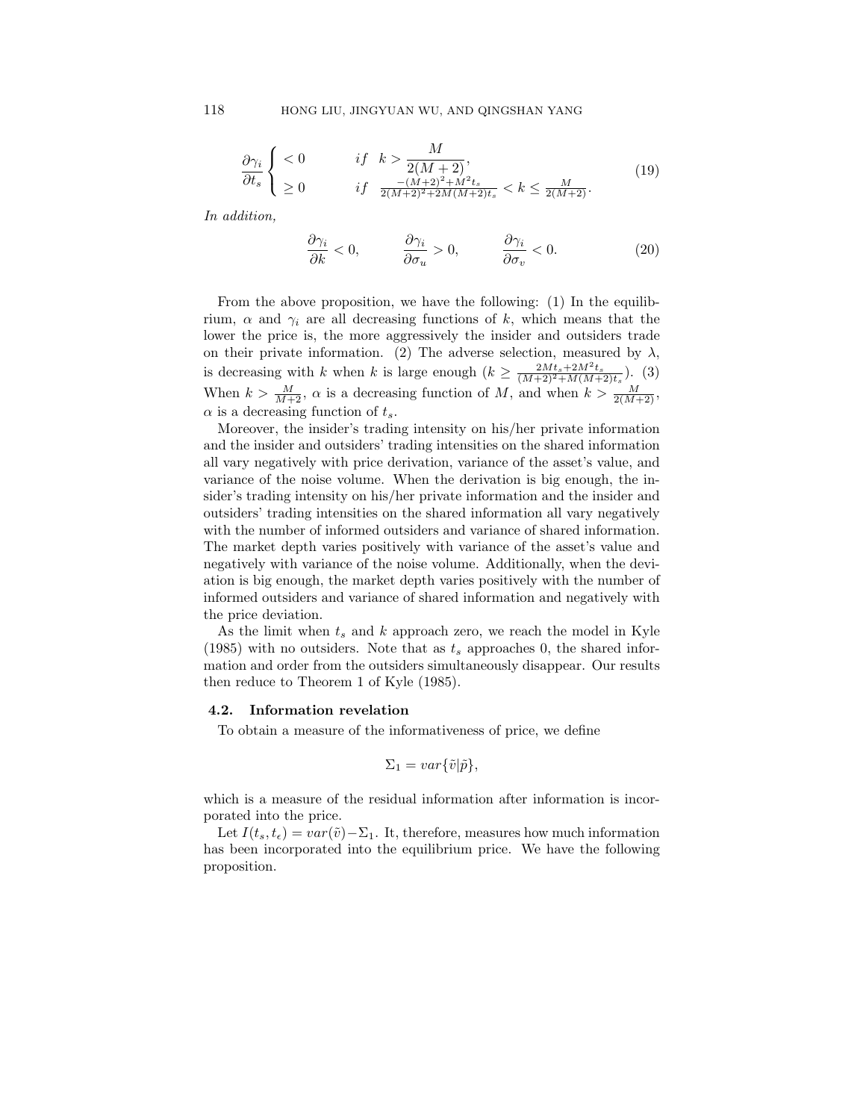$$
\frac{\partial \gamma_i}{\partial t_s} \begin{cases} < 0 & \text{if } k > \frac{M}{2(M+2)},\\ > 0 & \text{if } \frac{-(M+2)^2 + M^2 t_s}{2(M+2)^2 + 2M(M+2)t_s} < k \le \frac{M}{2(M+2)}. \end{cases} \tag{19}
$$

In addition,

$$
\frac{\partial \gamma_i}{\partial k} < 0, \qquad \frac{\partial \gamma_i}{\partial \sigma_u} > 0, \qquad \frac{\partial \gamma_i}{\partial \sigma_v} < 0. \tag{20}
$$

From the above proposition, we have the following: (1) In the equilibrium,  $\alpha$  and  $\gamma_i$  are all decreasing functions of k, which means that the lower the price is, the more aggressively the insider and outsiders trade on their private information. (2) The adverse selection, measured by  $\lambda$ , is decreasing with k when k is large enough  $(k \geq \frac{2Mt_s + 2M^2t_s}{(M+2)^2 + M(M+2)t_s})$ . (3) When  $k > \frac{M}{M+2}$ ,  $\alpha$  is a decreasing function of M, and when  $k > \frac{M}{2(M+2)}$ ,  $\alpha$  is a decreasing function of  $t_s$ .

Moreover, the insider's trading intensity on his/her private information and the insider and outsiders' trading intensities on the shared information all vary negatively with price derivation, variance of the asset's value, and variance of the noise volume. When the derivation is big enough, the insider's trading intensity on his/her private information and the insider and outsiders' trading intensities on the shared information all vary negatively with the number of informed outsiders and variance of shared information. The market depth varies positively with variance of the asset's value and negatively with variance of the noise volume. Additionally, when the deviation is big enough, the market depth varies positively with the number of informed outsiders and variance of shared information and negatively with the price deviation.

As the limit when  $t_s$  and k approach zero, we reach the model in Kyle (1985) with no outsiders. Note that as  $t_s$  approaches 0, the shared information and order from the outsiders simultaneously disappear. Our results then reduce to Theorem 1 of Kyle (1985).

#### 4.2. Information revelation

To obtain a measure of the informativeness of price, we define

$$
\Sigma_1 = var\{\tilde{v}|\tilde{p}\},\
$$

which is a measure of the residual information after information is incorporated into the price.

Let  $I(t_s, t_\epsilon) = var(\tilde{v}) - \Sigma_1$ . It, therefore, measures how much information has been incorporated into the equilibrium price. We have the following proposition.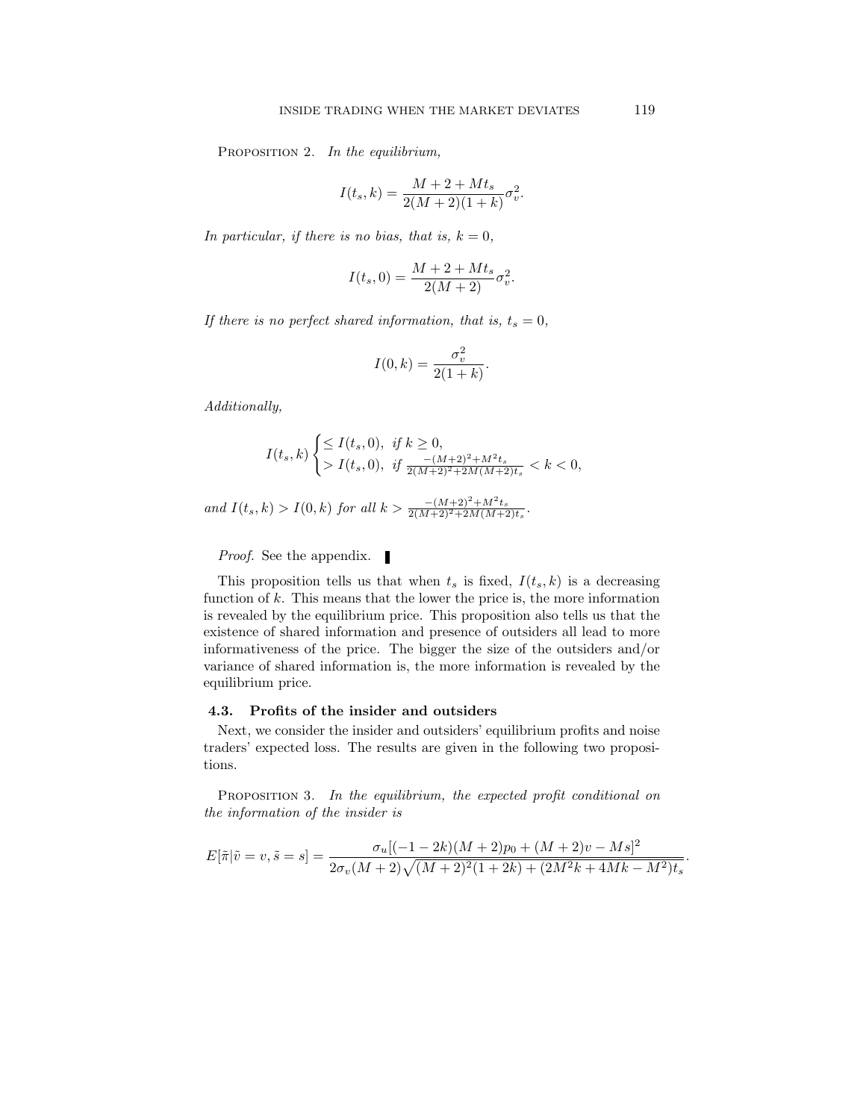PROPOSITION 2. In the equilibrium,

$$
I(t_s, k) = \frac{M + 2 + Mt_s}{2(M + 2)(1 + k)} \sigma_v^2.
$$

In particular, if there is no bias, that is,  $k = 0$ ,

$$
I(t_s, 0) = \frac{M + 2 + Mt_s}{2(M + 2)} \sigma_v^2.
$$

If there is no perfect shared information, that is,  $t_s = 0$ ,

$$
I(0,k) = \frac{\sigma_v^2}{2(1+k)}.
$$

Additionally,

$$
I(t_s, k) \begin{cases} \leq I(t_s, 0), & \text{if } k \geq 0, \\ & I(t_s, 0), & \text{if } \frac{-(M+2)^2 + M^2 t_s}{2(M+2)^2 + 2M(M+2)t_s} < k < 0, \end{cases}
$$

and  $I(t_s, k) > I(0, k)$  for all  $k > \frac{-(M+2)^2 + M^2 t_s}{2(M+2)^2 + 2M(M+2)t_s}$ .

*Proof.* See the appendix.

This proposition tells us that when  $t_s$  is fixed,  $I(t_s, k)$  is a decreasing function of  $k$ . This means that the lower the price is, the more information is revealed by the equilibrium price. This proposition also tells us that the existence of shared information and presence of outsiders all lead to more informativeness of the price. The bigger the size of the outsiders and/or variance of shared information is, the more information is revealed by the equilibrium price.

## 4.3. Profits of the insider and outsiders

Next, we consider the insider and outsiders' equilibrium profits and noise traders' expected loss. The results are given in the following two propositions.

PROPOSITION 3. In the equilibrium, the expected profit conditional on the information of the insider is

$$
E[\tilde{\pi}|\tilde{v} = v, \tilde{s} = s] = \frac{\sigma_u[(-1 - 2k)(M + 2)p_0 + (M + 2)v - Ms]^2}{2\sigma_v(M + 2)\sqrt{(M + 2)^2(1 + 2k) + (2M^2k + 4Mk - M^2)t_s}}
$$

.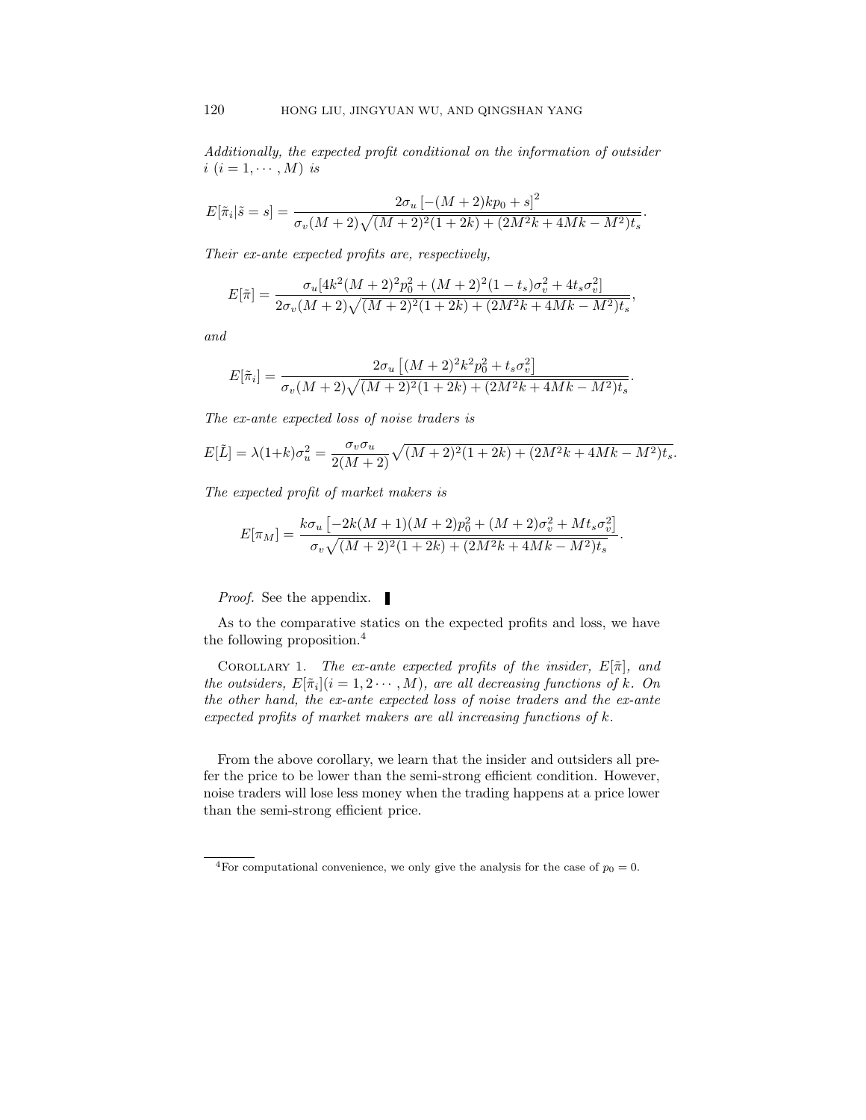Additionally, the expected profit conditional on the information of outsider  $i$   $(i = 1, \cdots, M)$  is

$$
E[\tilde{\pi}_i|\tilde{s}=s] = \frac{2\sigma_u \left[ -(M+2)kp_0 + s \right]^2}{\sigma_v (M+2)\sqrt{(M+2)^2(1+2k) + (2M^2k + 4Mk - M^2)t_s}}.
$$

Their ex-ante expected profits are, respectively,

$$
E[\tilde{\pi}] = \frac{\sigma_u[4k^2(M+2)^2p_0^2 + (M+2)^2(1-t_s)\sigma_v^2 + 4t_s\sigma_v^2]}{2\sigma_v(M+2)\sqrt{(M+2)^2(1+2k) + (2M^2k + 4Mk - M^2)t_s}}
$$

,

and

$$
E[\tilde{\pi}_i] = \frac{2\sigma_u \left[ (M+2)^2 k^2 p_0^2 + t_s \sigma_v^2 \right]}{\sigma_v (M+2) \sqrt{(M+2)^2 (1+2k) + (2M^2k + 4Mk - M^2)t_s}}.
$$

The ex-ante expected loss of noise traders is

$$
E[\tilde{L}] = \lambda (1+k)\sigma_u^2 = \frac{\sigma_v \sigma_u}{2(M+2)} \sqrt{(M+2)^2 (1+2k) + (2M^2k + 4Mk - M^2)t_s}.
$$

The expected profit of market makers is

$$
E[\pi_M] = \frac{k\sigma_u \left[ -2k(M+1)(M+2)p_0^2 + (M+2)\sigma_v^2 + Mt_s\sigma_v^2 \right]}{\sigma_v \sqrt{(M+2)^2(1+2k) + (2M^2k + 4Mk - M^2)t_s}}.
$$

Proof. See the appendix.

As to the comparative statics on the expected profits and loss, we have the following proposition.<sup>4</sup>

COROLLARY 1. The ex-ante expected profits of the insider,  $E[\tilde{\pi}]$ , and the outsiders,  $E[\tilde{\pi}_i](i=1,2\cdots,M)$ , are all decreasing functions of k. On the other hand, the ex-ante expected loss of noise traders and the ex-ante expected profits of market makers are all increasing functions of  $k$ .

From the above corollary, we learn that the insider and outsiders all prefer the price to be lower than the semi-strong efficient condition. However, noise traders will lose less money when the trading happens at a price lower than the semi-strong efficient price.

<sup>&</sup>lt;sup>4</sup>For computational convenience, we only give the analysis for the case of  $p_0 = 0$ .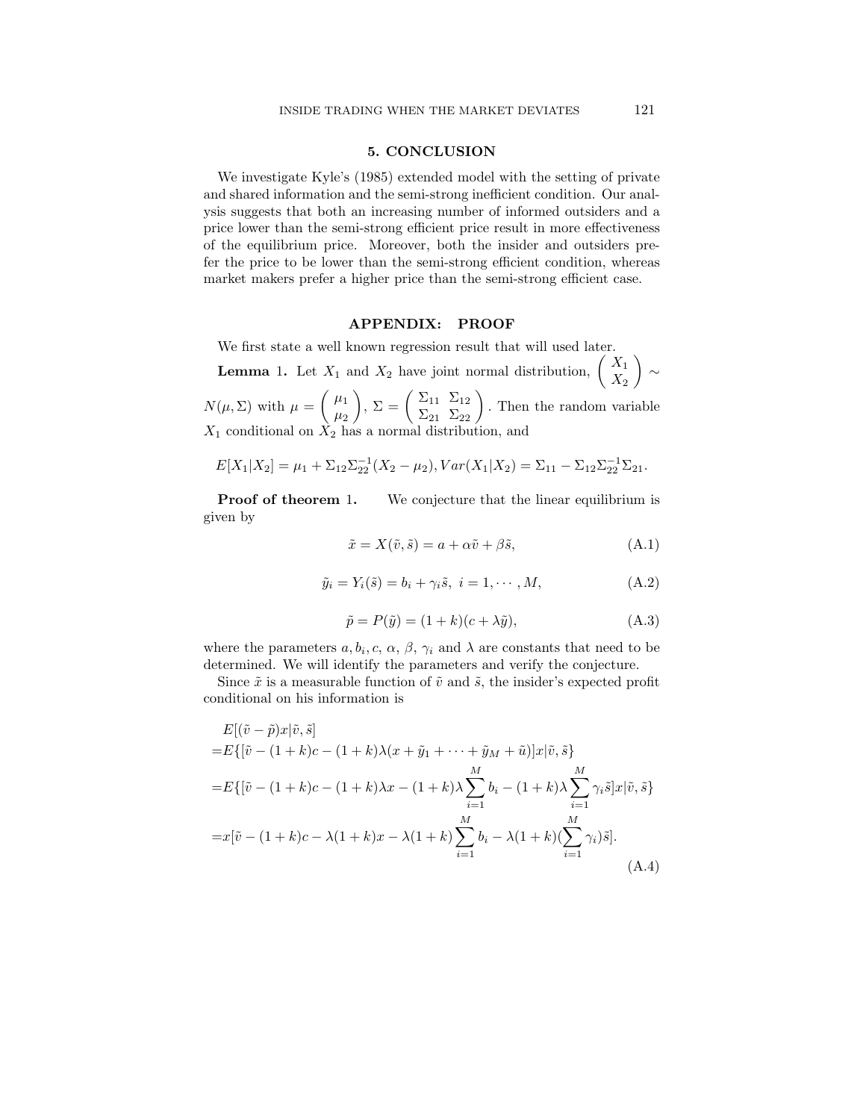## 5. CONCLUSION

We investigate Kyle's (1985) extended model with the setting of private and shared information and the semi-strong inefficient condition. Our analysis suggests that both an increasing number of informed outsiders and a price lower than the semi-strong efficient price result in more effectiveness of the equilibrium price. Moreover, both the insider and outsiders prefer the price to be lower than the semi-strong efficient condition, whereas market makers prefer a higher price than the semi-strong efficient case.

#### APPENDIX: PROOF

We first state a well known regression result that will used later.

**Lemma** 1. Let  $X_1$  and  $X_2$  have joint normal distribution,  $\begin{pmatrix} X_1 \\ Y_2 \end{pmatrix}$  $X_2$ ∼

 $N(\mu, \Sigma)$  with  $\mu = \begin{pmatrix} \mu_1 \\ \mu_2 \end{pmatrix}$  $\mu_2$  $\left( \sum_{11}^{\infty} \sum_{12}^{11} \sum_{22}^{12} \right)$ . Then the random variable  $X_1$  conditional on  $X_2$  has a normal distribution, and

$$
E[X_1|X_2] = \mu_1 + \Sigma_{12}\Sigma_{22}^{-1}(X_2 - \mu_2), Var(X_1|X_2) = \Sigma_{11} - \Sigma_{12}\Sigma_{22}^{-1}\Sigma_{21}.
$$

**Proof of theorem 1.** We conjecture that the linear equilibrium is given by

$$
\tilde{x} = X(\tilde{v}, \tilde{s}) = a + \alpha \tilde{v} + \beta \tilde{s},\tag{A.1}
$$

$$
\tilde{y}_i = Y_i(\tilde{s}) = b_i + \gamma_i \tilde{s}, \ i = 1, \cdots, M,
$$
\n(A.2)

$$
\tilde{p} = P(\tilde{y}) = (1 + k)(c + \lambda \tilde{y}),\tag{A.3}
$$

where the parameters  $a, b_i, c, \alpha, \beta, \gamma_i$  and  $\lambda$  are constants that need to be determined. We will identify the parameters and verify the conjecture.

Since  $\tilde{x}$  is a measurable function of  $\tilde{v}$  and  $\tilde{s}$ , the insider's expected profit conditional on his information is

$$
E[(\tilde{v} - \tilde{p})x|\tilde{v}, \tilde{s}]
$$
  
=  $E\{[\tilde{v} - (1 + k)c - (1 + k)\lambda(x + \tilde{y}_1 + \cdots + \tilde{y}_M + \tilde{u})]x|\tilde{v}, \tilde{s}\}$   
=  $E\{[\tilde{v} - (1 + k)c - (1 + k)\lambda x - (1 + k)\lambda \sum_{i=1}^{M} b_i - (1 + k)\lambda \sum_{i=1}^{M} \gamma_i \tilde{s}]x|\tilde{v}, \tilde{s}\}$   
=  $x[\tilde{v} - (1 + k)c - \lambda(1 + k)x - \lambda(1 + k)\sum_{i=1}^{M} b_i - \lambda(1 + k)(\sum_{i=1}^{M} \gamma_i)\tilde{s}].$  (A.4)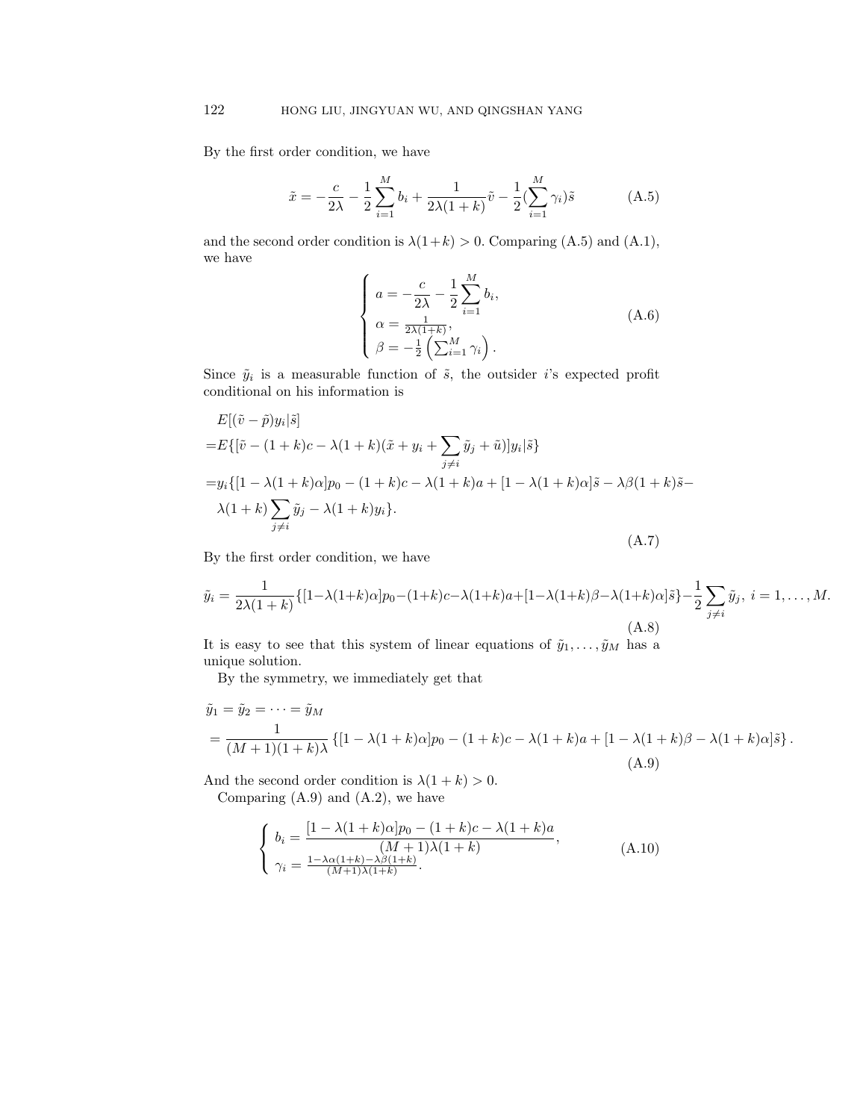By the first order condition, we have

$$
\tilde{x} = -\frac{c}{2\lambda} - \frac{1}{2} \sum_{i=1}^{M} b_i + \frac{1}{2\lambda(1+k)} \tilde{v} - \frac{1}{2} (\sum_{i=1}^{M} \gamma_i) \tilde{s}
$$
 (A.5)

and the second order condition is  $\lambda(1+k) > 0$ . Comparing (A.5) and (A.1), we have

$$
\begin{cases}\n a = -\frac{c}{2\lambda} - \frac{1}{2} \sum_{i=1}^{M} b_i, \\
 \alpha = \frac{1}{2\lambda(1+k)}, \\
 \beta = -\frac{1}{2} \left( \sum_{i=1}^{M} \gamma_i \right).\n\end{cases} (A.6)
$$

Since  $\tilde{y}_i$  is a measurable function of  $\tilde{s}$ , the outsider i's expected profit conditional on his information is

$$
E[(\tilde{v} - \tilde{p})y_i|\tilde{s}]
$$
  
=
$$
E\{[\tilde{v} - (1 + k)c - \lambda(1 + k)(\tilde{x} + y_i + \sum_{j \neq i} \tilde{y}_j + \tilde{u})]y_i|\tilde{s}\}
$$
  
=
$$
y_i\{[1 - \lambda(1 + k)\alpha]p_0 - (1 + k)c - \lambda(1 + k)a + [1 - \lambda(1 + k)\alpha]\tilde{s} - \lambda\beta(1 + k)\tilde{s} - \lambda(1 + k)\sum_{j \neq i} \tilde{y}_j - \lambda(1 + k)y_i\}.
$$
  
(A.7)

By the first order condition, we have

$$
\tilde{y}_i = \frac{1}{2\lambda(1+k)} \{ [1-\lambda(1+k)\alpha]p_0 - (1+k)c - \lambda(1+k)a + [1-\lambda(1+k)\beta - \lambda(1+k)\alpha]\tilde{s} \} - \frac{1}{2} \sum_{j \neq i} \tilde{y}_j, \ i = 1, ..., M.
$$
\n(A.8)

It is easy to see that this system of linear equations of  $\tilde{y}_1, \ldots, \tilde{y}_M$  has a unique solution.

By the symmetry, we immediately get that

$$
\tilde{y}_1 = \tilde{y}_2 = \dots = \tilde{y}_M
$$
\n
$$
= \frac{1}{(M+1)(1+k)\lambda} \left\{ [1 - \lambda(1+k)\alpha]p_0 - (1+k)c - \lambda(1+k)a + [1 - \lambda(1+k)\beta - \lambda(1+k)\alpha]\tilde{s} \right\}.
$$
\n(A.9)

And the second order condition is  $\lambda(1 + k) > 0$ . Comparing  $(A.9)$  and  $(A.2)$ , we have

$$
\begin{cases}\nb_i = \frac{[1 - \lambda(1 + k)\alpha]p_0 - (1 + k)c - \lambda(1 + k)a}{(M + 1)\lambda(1 + k)},\\ \gamma_i = \frac{1 - \lambda\alpha(1 + k) - \lambda\beta(1 + k)}{(M + 1)\lambda(1 + k)}. \end{cases} (A.10)
$$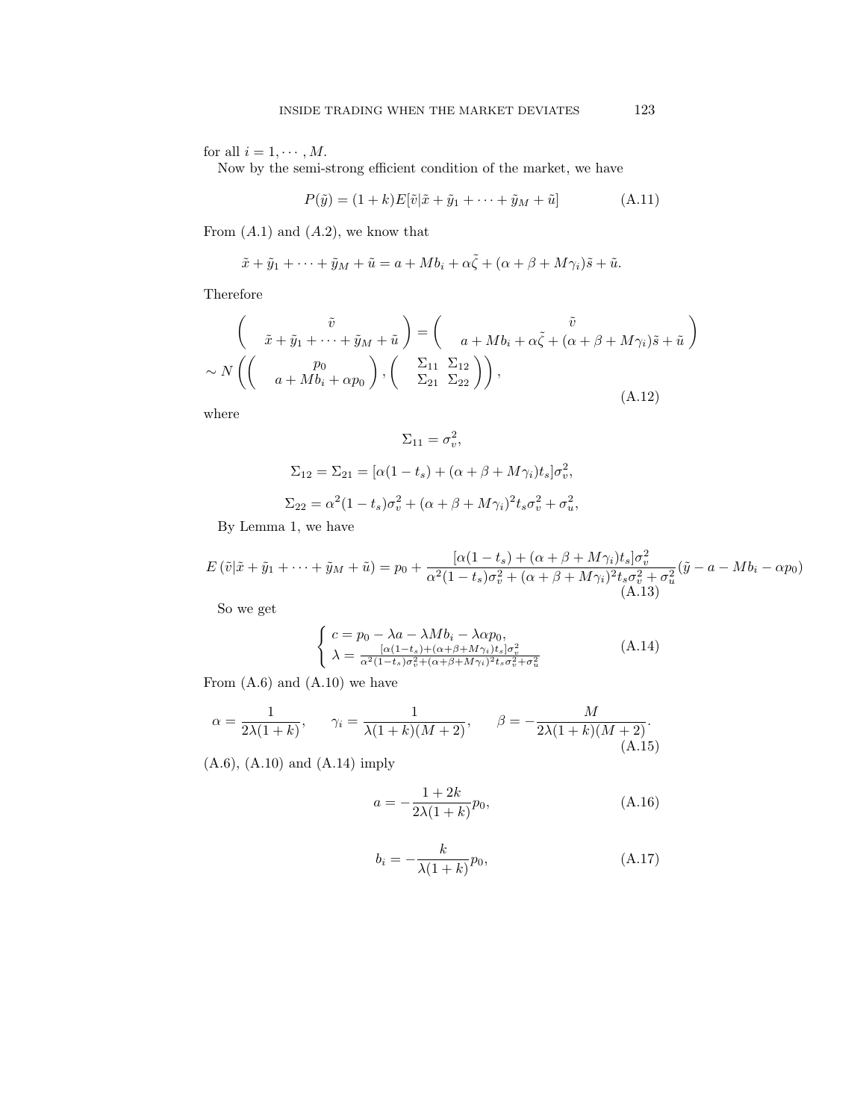for all  $i = 1, \dots, M$ .

Now by the semi-strong efficient condition of the market, we have

$$
P(\tilde{y}) = (1+k)E[\tilde{v}|\tilde{x} + \tilde{y}_1 + \dots + \tilde{y}_M + \tilde{u}]
$$
 (A.11)

From  $(A.1)$  and  $(A.2)$ , we know that

$$
\tilde{x} + \tilde{y}_1 + \dots + \tilde{y}_M + \tilde{u} = a + Mb_i + \alpha \tilde{\zeta} + (\alpha + \beta + M\gamma_i)\tilde{s} + \tilde{u}.
$$

Therefore

$$
\begin{pmatrix}\n\tilde{v} \\
\tilde{x} + \tilde{y}_1 + \dots + \tilde{y}_M + \tilde{u}\n\end{pmatrix} = \begin{pmatrix}\n\tilde{v} \\
a + Mb_i + \alpha \tilde{\zeta} + (\alpha + \beta + M\gamma_i)\tilde{s} + \tilde{u}\n\end{pmatrix}
$$
\n
$$
\sim N \left( \begin{pmatrix}p_0 \\
a + Mb_i + \alpha p_0\n\end{pmatrix}, \begin{pmatrix}\n\Sigma_{11} & \Sigma_{12} \\
\Sigma_{21} & \Sigma_{22}\n\end{pmatrix} \right),
$$
\n(A.12)

where

$$
\Sigma_{11} = \sigma_v^2,
$$
  
\n
$$
\Sigma_{12} = \Sigma_{21} = [\alpha(1 - t_s) + (\alpha + \beta + M\gamma_i)t_s]\sigma_v^2,
$$
  
\n
$$
\Sigma_{22} = \alpha^2(1 - t_s)\sigma_v^2 + (\alpha + \beta + M\gamma_i)^2t_s\sigma_v^2 + \sigma_u^2,
$$

By Lemma 1, we have

$$
E(\tilde{v}|\tilde{x} + \tilde{y}_1 + \dots + \tilde{y}_M + \tilde{u}) = p_0 + \frac{[\alpha(1 - t_s) + (\alpha + \beta + M\gamma_i)t_s]\sigma_v^2}{\alpha^2(1 - t_s)\sigma_v^2 + (\alpha + \beta + M\gamma_i)^2t_s\sigma_v^2 + \sigma_u^2}(\tilde{y} - a - Mb_i - \alpha p_0)
$$
\n(A.13)

So we get

$$
\begin{cases}\nc = p_0 - \lambda a - \lambda M b_i - \lambda \alpha p_0, \\
\lambda = \frac{[\alpha(1 - t_s) + (\alpha + \beta + M \gamma_i)t_s]\sigma_v^2}{\alpha^2 (1 - t_s)\sigma_v^2 + (\alpha + \beta + M \gamma_i)^2 t_s \sigma_v^2 + \sigma_u^2}\n\end{cases} (A.14)
$$

From  $(A.6)$  and  $(A.10)$  we have

$$
\alpha = \frac{1}{2\lambda(1+k)}, \quad \gamma_i = \frac{1}{\lambda(1+k)(M+2)}, \quad \beta = -\frac{M}{2\lambda(1+k)(M+2)}.
$$
\n(A.15)

(A.6), (A.10) and (A.14) imply

$$
a = -\frac{1+2k}{2\lambda(1+k)}p_0,
$$
 (A.16)

$$
b_i = -\frac{k}{\lambda(1+k)}p_0,\tag{A.17}
$$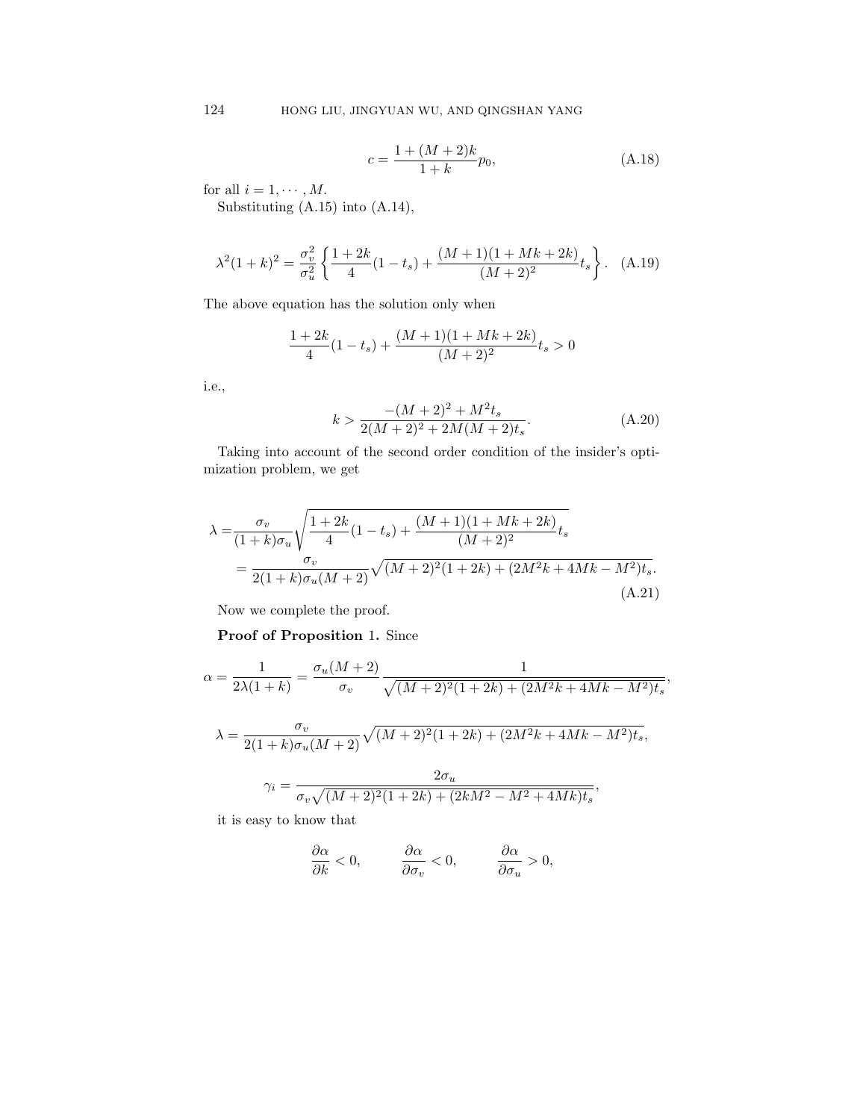$$
c = \frac{1 + (M+2)k}{1+k}p_0,
$$
 (A.18)

for all  $i = 1, \cdots, M$ .

Substituting (A.15) into (A.14),

$$
\lambda^{2}(1+k)^{2} = \frac{\sigma_{v}^{2}}{\sigma_{u}^{2}} \left\{ \frac{1+2k}{4} (1-t_{s}) + \frac{(M+1)(1+Mk+2k)}{(M+2)^{2}} t_{s} \right\}.
$$
 (A.19)

The above equation has the solution only when

$$
\frac{1+2k}{4}(1-t_s)+\frac{(M+1)(1+Mk+2k)}{(M+2)^2}t_s>0
$$

i.e.,

$$
k > \frac{-(M+2)^2 + M^2 t_s}{2(M+2)^2 + 2M(M+2)t_s}.
$$
 (A.20)

Taking into account of the second order condition of the insider's optimization problem, we get

$$
\lambda = \frac{\sigma_v}{(1+k)\sigma_u} \sqrt{\frac{1+2k}{4} (1-t_s) + \frac{(M+1)(1+Mk+2k)}{(M+2)^2} t_s}
$$
  
= 
$$
\frac{\sigma_v}{2(1+k)\sigma_u(M+2)} \sqrt{(M+2)^2 (1+2k) + (2M^2k + 4Mk - M^2) t_s}.
$$
(A.21)

Now we complete the proof.

Proof of Proposition 1. Since

$$
\alpha = \frac{1}{2\lambda(1+k)} = \frac{\sigma_u(M+2)}{\sigma_v} \frac{1}{\sqrt{(M+2)^2(1+2k) + (2M^2k + 4Mk - M^2)t_s}},
$$

$$
\lambda = \frac{\sigma_v}{2(1+k)\sigma_u(M+2)}\sqrt{(M+2)^2(1+2k) + (2M^2k + 4Mk - M^2)t_s},
$$

$$
\gamma_i = \frac{2\sigma_u}{\sigma_v \sqrt{(M+2)^2(1+2k)+(2kM^2-M^2+4Mk)t_s}},
$$

it is easy to know that

$$
\frac{\partial \alpha}{\partial k} < 0, \qquad \frac{\partial \alpha}{\partial \sigma_v} < 0, \qquad \frac{\partial \alpha}{\partial \sigma_u} > 0,
$$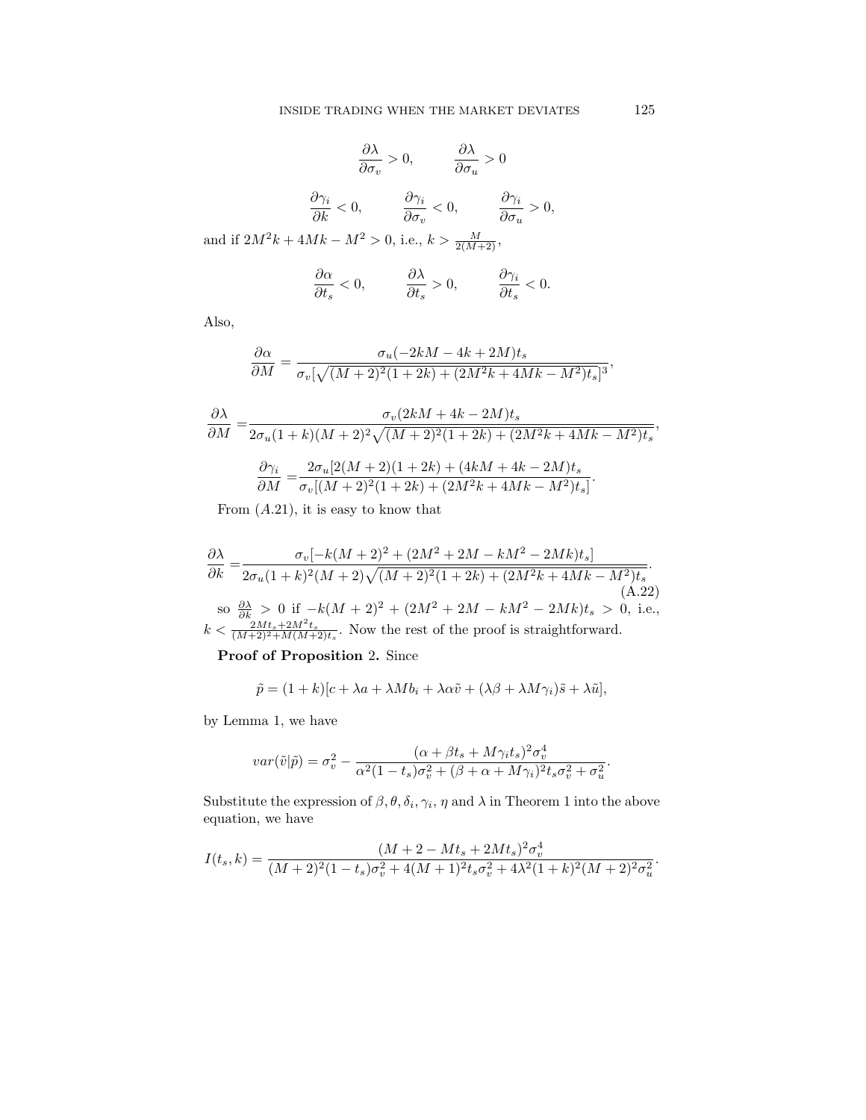$$
\frac{\partial \lambda}{\partial \sigma_v} > 0, \qquad \frac{\partial \lambda}{\partial \sigma_u} > 0
$$

$$
\frac{\partial \gamma_i}{\partial k} < 0, \qquad \frac{\partial \gamma_i}{\partial \sigma_v} < 0, \qquad \frac{\partial \gamma_i}{\partial \sigma_u} > 0,
$$
and if  $2M^2k + 4Mk - M^2 > 0$ , i.e.,  $k > \frac{M}{2(M+2)}$ ,

$$
\frac{\partial \alpha}{\partial t_s} < 0, \qquad \frac{\partial \lambda}{\partial t_s} > 0, \qquad \frac{\partial \gamma_i}{\partial t_s} < 0.
$$

Also,

$$
\frac{\partial\alpha}{\partial M}=\frac{\sigma_u(-2kM-4k+2M)t_s}{\sigma_v[\sqrt{(M+2)^2(1+2k)+(2M^2k+4Mk-M^2)t_s}]^3},
$$

$$
\label{eq:1} \begin{split} \frac{\partial \lambda}{\partial M}=&\frac{\sigma_v(2kM+4k-2M)t_s}{2\sigma_u(1+k)(M+2)^2\sqrt{(M+2)^2(1+2k)+(2M^2k+4Mk-M^2)t_s}},\\ \frac{\partial \gamma_i}{\partial M}=&\frac{2\sigma_u[2(M+2)(1+2k)+(4kM+4k-2M)t_s}{\sigma_v[(M+2)^2(1+2k)+(2M^2k+4Mk-M^2)t_s]}. \end{split}
$$

From  $(A.21)$ , it is easy to know that

$$
\frac{\partial \lambda}{\partial k} = \frac{\sigma_v[-k(M+2)^2 + (2M^2 + 2M - kM^2 - 2Mk)t_s]}{2\sigma_u(1+k)^2(M+2)\sqrt{(M+2)^2(1+2k) + (2M^2k + 4Mk - M^2)t_s}}.
$$
\n(a.22)  
\nso  $\frac{\partial \lambda}{\partial k} > 0$  if  $-k(M+2)^2 + (2M^2 + 2M - kM^2 - 2Mk)t_s > 0$ , i.e.,  
\n $k < \frac{2Mt_s + 2M^2t_s}{(M+2)^2 + M(M+2)t_s}$ . Now the rest of the proof is straightforward.

Proof of Proposition 2. Since

$$
\tilde{p} = (1 + k)[c + \lambda a + \lambda M b_i + \lambda \alpha \tilde{v} + (\lambda \beta + \lambda M \gamma_i)\tilde{s} + \lambda \tilde{u}],
$$

by Lemma 1, we have

$$
var(\tilde{v}|\tilde{p}) = \sigma_v^2 - \frac{(\alpha + \beta t_s + M\gamma_i t_s)^2 \sigma_v^4}{\alpha^2 (1 - t_s)\sigma_v^2 + (\beta + \alpha + M\gamma_i)^2 t_s \sigma_v^2 + \sigma_u^2}.
$$

Substitute the expression of  $\beta$ ,  $\theta$ ,  $\delta_i$ ,  $\gamma_i$ ,  $\eta$  and  $\lambda$  in Theorem 1 into the above equation, we have

$$
I(t_s,k) = \frac{(M+2-Mt_s+2Mt_s)^2\sigma_v^4}{(M+2)^2(1-t_s)\sigma_v^2+4(M+1)^2t_s\sigma_v^2+4\lambda^2(1+k)^2(M+2)^2\sigma_u^2}.
$$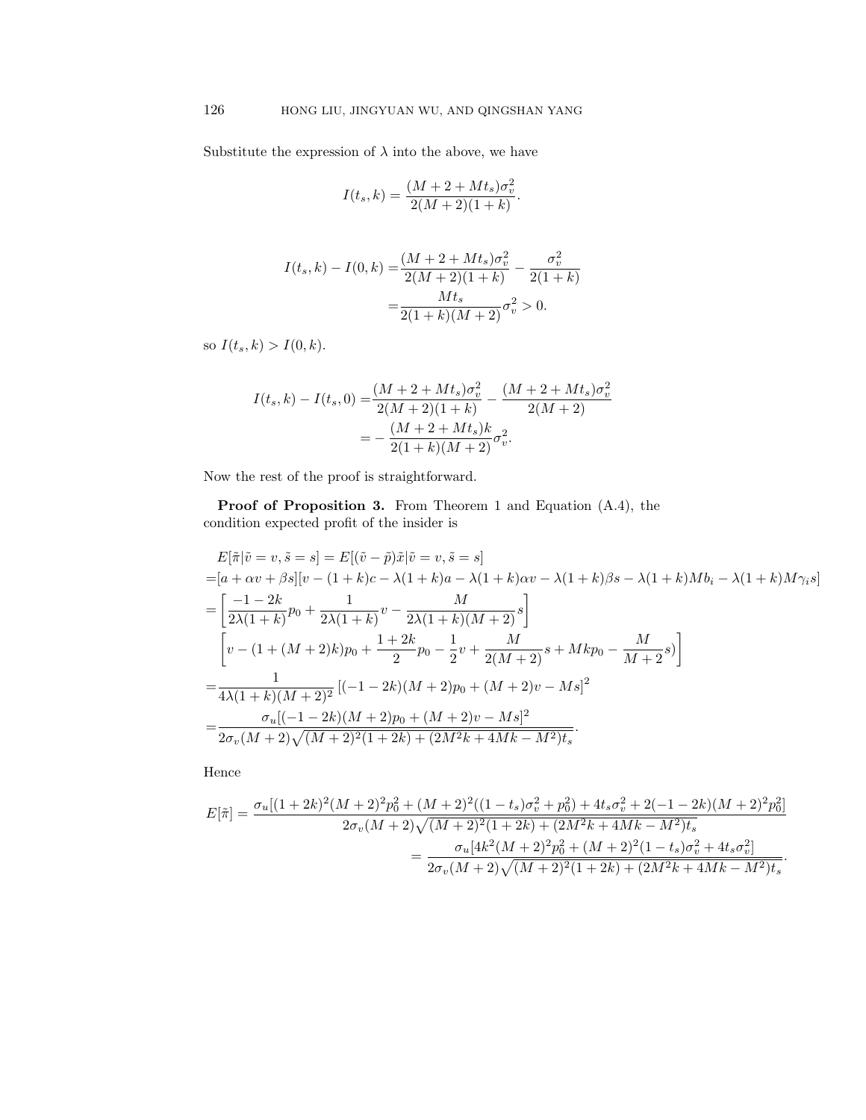Substitute the expression of  $\lambda$  into the above, we have

$$
I(t_s, k) = \frac{(M + 2 + Mt_s)\sigma_v^2}{2(M + 2)(1 + k)}.
$$

$$
I(t_s, k) - I(0, k) = \frac{(M + 2 + Mt_s)\sigma_v^2}{2(M + 2)(1 + k)} - \frac{\sigma_v^2}{2(1 + k)}
$$

$$
= \frac{Mt_s}{2(1 + k)(M + 2)}\sigma_v^2 > 0.
$$

so  $I(t_s, k) > I(0, k)$ .

$$
I(t_s, k) - I(t_s, 0) = \frac{(M + 2 + Mt_s)\sigma_v^2}{2(M + 2)(1 + k)} - \frac{(M + 2 + Mt_s)\sigma_v^2}{2(M + 2)}
$$
  
= 
$$
-\frac{(M + 2 + Mt_s)k}{2(1 + k)(M + 2)}\sigma_v^2.
$$

Now the rest of the proof is straightforward.

Proof of Proposition 3. From Theorem 1 and Equation (A.4), the condition expected profit of the insider is

$$
E[\tilde{\pi}|\tilde{v} = v, \tilde{s} = s] = E[(\tilde{v} - \tilde{p})\tilde{x}|\tilde{v} = v, \tilde{s} = s]
$$
  
\n
$$
= [a + \alpha v + \beta s][v - (1 + k)c - \lambda(1 + k)a - \lambda(1 + k)\alpha v - \lambda(1 + k)\beta s - \lambda(1 + k)Mb_i - \lambda(1 + k)M\gamma_i s]
$$
  
\n
$$
= \left[\frac{-1 - 2k}{2\lambda(1 + k)}p_0 + \frac{1}{2\lambda(1 + k)}v - \frac{M}{2\lambda(1 + k)(M + 2)}s\right]
$$
  
\n
$$
\left[v - (1 + (M + 2)k)p_0 + \frac{1 + 2k}{2}p_0 - \frac{1}{2}v + \frac{M}{2(M + 2)}s + Mkp_0 - \frac{M}{M + 2}s\right]
$$
  
\n
$$
= \frac{1}{4\lambda(1 + k)(M + 2)^2} [(-1 - 2k)(M + 2)p_0 + (M + 2)v - Ms]^2
$$
  
\n
$$
= \frac{\sigma_u[(-1 - 2k)(M + 2)p_0 + (M + 2)v - Ms]^2}{2\sigma_v(M + 2)\sqrt{(M + 2)^2(1 + 2k) + (2M^2k + 4Mk - M^2)t_s}}.
$$

Hence

$$
E[\tilde{\pi}] = \frac{\sigma_u[(1+2k)^2(M+2)^2p_0^2 + (M+2)^2((1-t_s)\sigma_v^2 + p_0^2) + 4t_s\sigma_v^2 + 2(-1-2k)(M+2)^2p_0^2]}{2\sigma_v(M+2)\sqrt{(M+2)^2(1+2k) + (2M^2k + 4Mk - M^2)t_s}}
$$
  
= 
$$
\frac{\sigma_u[4k^2(M+2)^2p_0^2 + (M+2)^2(1-t_s)\sigma_v^2 + 4t_s\sigma_v^2]}{2\sigma_v(M+2)\sqrt{(M+2)^2(1+2k) + (2M^2k + 4Mk - M^2)t_s}}.
$$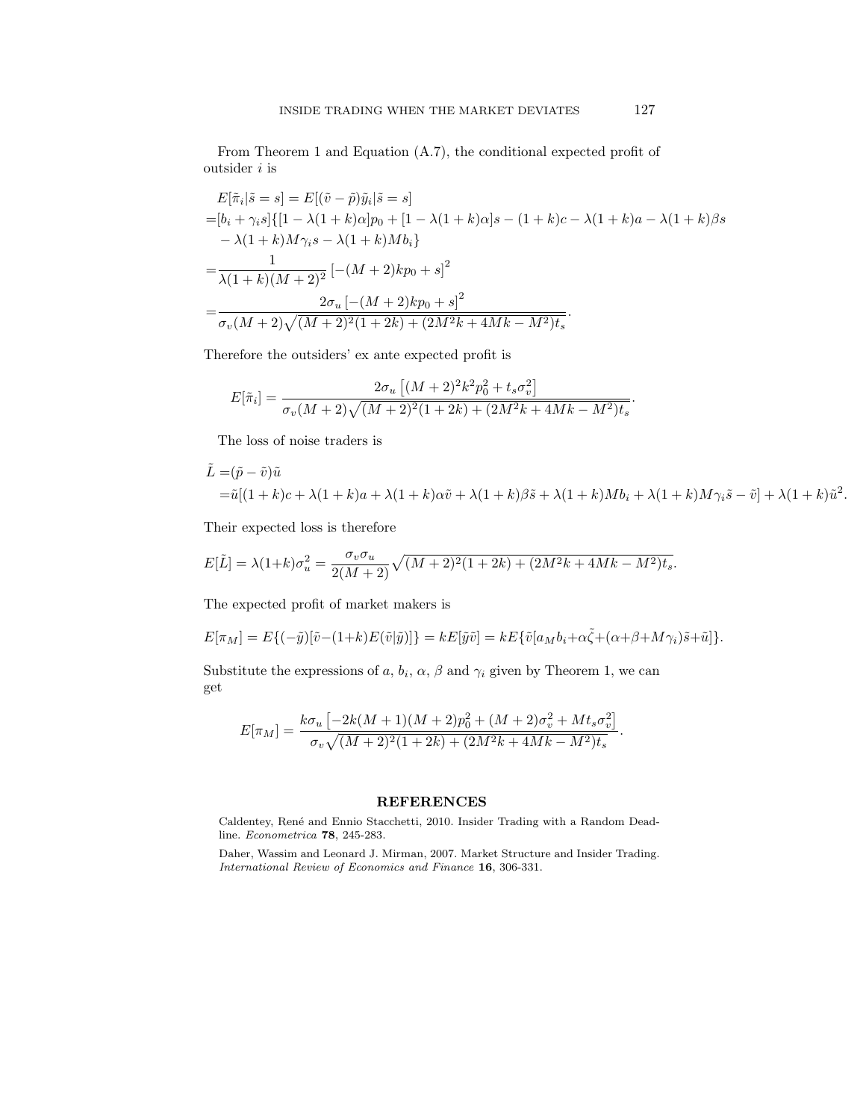From Theorem 1 and Equation (A.7), the conditional expected profit of outsider i is

$$
E[\tilde{\pi}_i|\tilde{s}=s] = E[(\tilde{v}-\tilde{p})\tilde{y}_i|\tilde{s}=s]
$$
  
= $[b_i + \gamma_i s]\{[1 - \lambda(1 + k)\alpha]p_0 + [1 - \lambda(1 + k)\alpha]s - (1 + k)c - \lambda(1 + k)a - \lambda(1 + k)\beta s$   
 $- \lambda(1 + k)M\gamma_i s - \lambda(1 + k)Mb_i\}$   
= $\frac{1}{\lambda(1 + k)(M + 2)^2} [-(M + 2)kp_0 + s]^2$   
= $\frac{2\sigma_u [-(M + 2)kp_0 + s]^2}{\sigma_v(M + 2)\sqrt{(M + 2)^2(1 + 2k) + (2M^2k + 4Mk - M^2)t_s}}.$ 

Therefore the outsiders' ex ante expected profit is

$$
E[\tilde{\pi}_i] = \frac{2\sigma_u \left[ (M+2)^2 k^2 p_0^2 + t_s \sigma_v^2 \right]}{\sigma_v (M+2) \sqrt{(M+2)^2 (1+2k) + (2M^2k + 4Mk - M^2)t_s}}.
$$

The loss of noise traders is

$$
\tilde{L} = (\tilde{p} - \tilde{v})\tilde{u}
$$
  
=\tilde{u}[(1 + k)c + \lambda(1 + k)a + \lambda(1 + k)\alpha\tilde{v} + \lambda(1 + k)\beta\tilde{s} + \lambda(1 + k)Mb\_i + \lambda(1 + k)M\gamma\_i\tilde{s} - \tilde{v}] + \lambda(1 + k)\tilde{u}^2.

Their expected loss is therefore

$$
E[\tilde{L}] = \lambda (1+k)\sigma_u^2 = \frac{\sigma_v \sigma_u}{2(M+2)} \sqrt{(M+2)^2 (1+2k) + (2M^2k + 4Mk - M^2)t_s}.
$$

The expected profit of market makers is

$$
E[\pi_M] = E\{(-\tilde{y})[\tilde{v}-(1+k)E(\tilde{v}|\tilde{y})]\} = kE[\tilde{y}\tilde{v}] = kE\{\tilde{v}[a_Mb_i + \alpha\tilde{\zeta} + (\alpha+\beta+M\gamma_i)\tilde{s} + \tilde{u}]\}.
$$

Substitute the expressions of a,  $b_i$ ,  $\alpha$ ,  $\beta$  and  $\gamma_i$  given by Theorem 1, we can get

$$
E[\pi_M] = \frac{k\sigma_u \left[ -2k(M+1)(M+2)p_0^2 + (M+2)\sigma_v^2 + Mt_s\sigma_v^2 \right]}{\sigma_v \sqrt{(M+2)^2(1+2k) + (2M^2k + 4Mk - M^2)t_s}}.
$$

## REFERENCES

Caldentey, René and Ennio Stacchetti, 2010. Insider Trading with a Random Deadline. Econometrica 78, 245-283.

Daher, Wassim and Leonard J. Mirman, 2007. Market Structure and Insider Trading. International Review of Economics and Finance 16, 306-331.